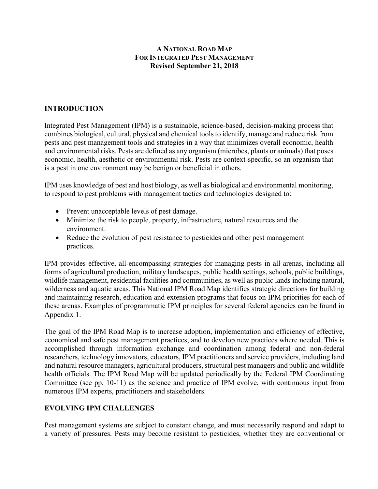## **A NATIONAL ROAD MAP FOR INTEGRATED PEST MANAGEMENT Revised September 21, 2018**

## **INTRODUCTION**

Integrated Pest Management (IPM) is a sustainable, science-based, decision-making process that combines biological, cultural, physical and chemical tools to identify, manage and reduce risk from pests and pest management tools and strategies in a way that minimizes overall economic, health and environmental risks. Pests are defined as any organism (microbes, plants or animals) that poses economic, health, aesthetic or environmental risk. Pests are context-specific, so an organism that is a pest in one environment may be benign or beneficial in others.

IPM uses knowledge of pest and host biology, as well as biological and environmental monitoring, to respond to pest problems with management tactics and technologies designed to:

- Prevent unacceptable levels of pest damage.
- Minimize the risk to people, property, infrastructure, natural resources and the environment.
- Reduce the evolution of pest resistance to pesticides and other pest management practices.

IPM provides effective, all-encompassing strategies for managing pests in all arenas, including all forms of agricultural production, military landscapes, public health settings, schools, public buildings, wildlife management, residential facilities and communities, as well as public lands including natural, wilderness and aquatic areas. This National IPM Road Map identifies strategic directions for building and maintaining research, education and extension programs that focus on IPM priorities for each of these arenas. Examples of programmatic IPM principles for several federal agencies can be found in Appendix 1.

The goal of the IPM Road Map is to increase adoption, implementation and efficiency of effective, economical and safe pest management practices, and to develop new practices where needed. This is accomplished through information exchange and coordination among federal and non-federal researchers, technology innovators, educators, IPM practitioners and service providers, including land and natural resource managers, agricultural producers, structural pest managers and public and wildlife health officials. The IPM Road Map will be updated periodically by the Federal IPM Coordinating Committee (see pp. 10-11) as the science and practice of IPM evolve, with continuous input from numerous IPM experts, practitioners and stakeholders.

## **EVOLVING IPM CHALLENGES**

Pest management systems are subject to constant change, and must necessarily respond and adapt to a variety of pressures. Pests may become resistant to pesticides, whether they are conventional or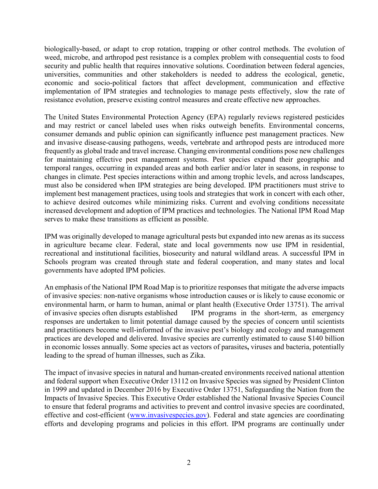biologically-based, or adapt to crop rotation, trapping or other control methods. The evolution of weed, microbe, and arthropod pest resistance is a complex problem with consequential costs to food security and public health that requires innovative solutions. Coordination between federal agencies, universities, communities and other stakeholders is needed to address the ecological, genetic, economic and socio-political factors that affect development, communication and effective implementation of IPM strategies and technologies to manage pests effectively, slow the rate of resistance evolution, preserve existing control measures and create effective new approaches.

The United States Environmental Protection Agency (EPA) regularly reviews registered pesticides and may restrict or cancel labeled uses when risks outweigh benefits. Environmental concerns, consumer demands and public opinion can significantly influence pest management practices. New and invasive disease-causing pathogens, weeds, vertebrate and arthropod pests are introduced more frequently as global trade and travel increase. Changing environmental conditions pose new challenges for maintaining effective pest management systems. Pest species expand their geographic and temporal ranges, occurring in expanded areas and both earlier and/or later in seasons, in response to changes in climate. Pest species interactions within and among trophic levels, and across landscapes, must also be considered when IPM strategies are being developed. IPM practitioners must strive to implement best management practices, using tools and strategies that work in concert with each other, to achieve desired outcomes while minimizing risks. Current and evolving conditions necessitate increased development and adoption of IPM practices and technologies. The National IPM Road Map serves to make these transitions as efficient as possible.

IPM was originally developed to manage agricultural pests but expanded into new arenas as its success in agriculture became clear. Federal, state and local governments now use IPM in residential, recreational and institutional facilities, biosecurity and natural wildland areas. A successful IPM in Schools program was created through state and federal cooperation, and many states and local governments have adopted IPM policies.

An emphasis of the National IPM Road Map is to prioritize responses that mitigate the adverse impacts of invasive species: non-native organisms whose introduction causes or is likely to cause economic or environmental harm, or harm to human, animal or plant health (Executive Order 13751). The arrival of invasive species often disrupts established IPM programs in the short-term, as emergency responses are undertaken to limit potential damage caused by the species of concern until scientists and practitioners become well-informed of the invasive pest's biology and ecology and management practices are developed and delivered. Invasive species are currently estimated to cause \$140 billion in economic losses annually. Some species act as vectors of parasites**,** viruses and bacteria, potentially leading to the spread of human illnesses, such as Zika.

The impact of invasive species in natural and human-created environments received national attention and federal support when Executive Order 13112 on Invasive Species was signed by President Clinton in 1999 and updated in December 2016 by Executive Order 13751, Safeguarding the Nation from the Impacts of Invasive Species. This Executive Order established the National Invasive Species Council to ensure that federal programs and activities to prevent and control invasive species are coordinated, effective and cost-efficient [\(www.invasivespecies.gov\)](http://www.invasivespecies.gov/). Federal and state agencies are coordinating efforts and developing programs and policies in this effort. IPM programs are continually under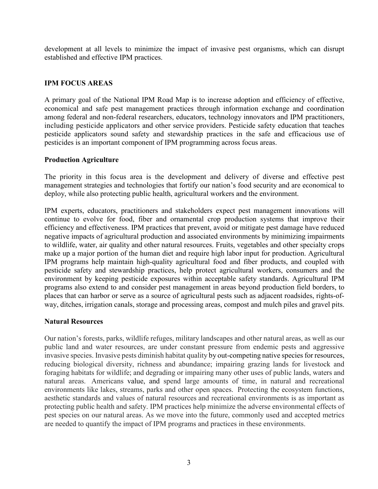development at all levels to minimize the impact of invasive pest organisms, which can disrupt established and effective IPM practices.

## **IPM FOCUS AREAS**

A primary goal of the National IPM Road Map is to increase adoption and efficiency of effective, economical and safe pest management practices through information exchange and coordination among federal and non-federal researchers, educators, technology innovators and IPM practitioners, including pesticide applicators and other service providers. Pesticide safety education that teaches pesticide applicators sound safety and stewardship practices in the safe and efficacious use of pesticides is an important component of IPM programming across focus areas.

#### **Production Agriculture**

The priority in this focus area is the development and delivery of diverse and effective pest management strategies and technologies that fortify our nation's food security and are economical to deploy, while also protecting public health, agricultural workers and the environment.

IPM experts, educators, practitioners and stakeholders expect pest management innovations will continue to evolve for food, fiber and ornamental crop production systems that improve their efficiency and effectiveness. IPM practices that prevent, avoid or mitigate pest damage have reduced negative impacts of agricultural production and associated environments by minimizing impairments to wildlife, water, air quality and other natural resources. Fruits, vegetables and other specialty crops make up a major portion of the human diet and require high labor input for production. Agricultural IPM programs help maintain high-quality agricultural food and fiber products, and coupled with pesticide safety and stewardship practices, help protect agricultural workers, consumers and the environment by keeping pesticide exposures within acceptable safety standards. Agricultural IPM programs also extend to and consider pest management in areas beyond production field borders, to places that can harbor or serve as a source of agricultural pests such as adjacent roadsides, rights-ofway, ditches, irrigation canals, storage and processing areas, compost and mulch piles and gravel pits.

#### **Natural Resources**

Our nation's forests, parks, wildlife refuges, military landscapes and other natural areas, as well as our public land and water resources, are under constant pressure from endemic pests and aggressive invasive species. Invasive pests diminish habitat quality by out-competing native species for resources, reducing biological diversity, richness and abundance; impairing grazing lands for livestock and foraging habitats for wildlife; and degrading or impairing many other uses of public lands, waters and natural areas. Americans value, and spend large amounts of time, in natural and recreational environments like lakes, streams, parks and other open spaces. Protecting the ecosystem functions, aesthetic standards and values of natural resources and recreational environments is as important as protecting public health and safety. IPM practices help minimize the adverse environmental effects of pest species on our natural areas. As we move into the future, commonly used and accepted metrics are needed to quantify the impact of IPM programs and practices in these environments.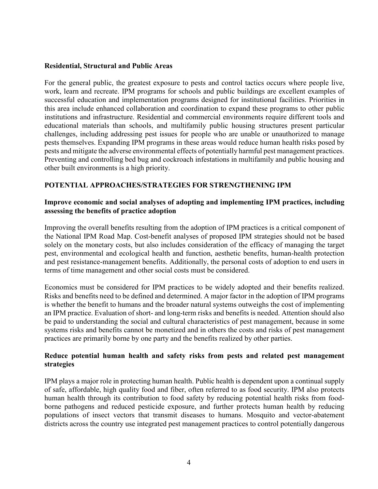#### **Residential, Structural and Public Areas**

For the general public, the greatest exposure to pests and control tactics occurs where people live, work, learn and recreate. IPM programs for schools and public buildings are excellent examples of successful education and implementation programs designed for institutional facilities. Priorities in this area include enhanced collaboration and coordination to expand these programs to other public institutions and infrastructure. Residential and commercial environments require different tools and educational materials than schools, and multifamily public housing structures present particular challenges, including addressing pest issues for people who are unable or unauthorized to manage pests themselves. Expanding IPM programs in these areas would reduce human health risks posed by pests and mitigate the adverse environmental effects of potentially harmful pest management practices. Preventing and controlling bed bug and cockroach infestations in multifamily and public housing and other built environments is a high priority.

## **POTENTIAL APPROACHES/STRATEGIES FOR STRENGTHENING IPM**

#### **Improve economic and social analyses of adopting and implementing IPM practices, including assessing the benefits of practice adoption**

Improving the overall benefits resulting from the adoption of IPM practices is a critical component of the National IPM Road Map. Cost-benefit analyses of proposed IPM strategies should not be based solely on the monetary costs, but also includes consideration of the efficacy of managing the target pest, environmental and ecological health and function, aesthetic benefits, human-health protection and pest resistance-management benefits. Additionally, the personal costs of adoption to end users in terms of time management and other social costs must be considered.

Economics must be considered for IPM practices to be widely adopted and their benefits realized. Risks and benefits need to be defined and determined. A major factor in the adoption of IPM programs is whether the benefit to humans and the broader natural systems outweighs the cost of implementing an IPM practice. Evaluation of short- and long-term risks and benefits is needed. Attention should also be paid to understanding the social and cultural characteristics of pest management, because in some systems risks and benefits cannot be monetized and in others the costs and risks of pest management practices are primarily borne by one party and the benefits realized by other parties.

#### **Reduce potential human health and safety risks from pests and related pest management strategies**

IPM plays a major role in protecting human health. Public health is dependent upon a continual supply of safe, affordable, high quality food and fiber, often referred to as food security. IPM also protects human health through its contribution to food safety by reducing potential health risks from foodborne pathogens and reduced pesticide exposure, and further protects human health by reducing populations of insect vectors that transmit diseases to humans. Mosquito and vector-abatement districts across the country use integrated pest management practices to control potentially dangerous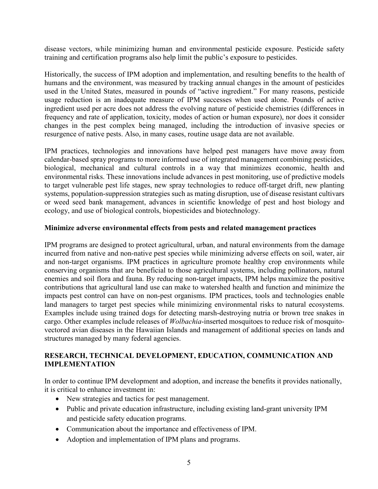disease vectors, while minimizing human and environmental pesticide exposure. Pesticide safety training and certification programs also help limit the public's exposure to pesticides.

Historically, the success of IPM adoption and implementation, and resulting benefits to the health of humans and the environment, was measured by tracking annual changes in the amount of pesticides used in the United States, measured in pounds of "active ingredient." For many reasons, pesticide usage reduction is an inadequate measure of IPM successes when used alone. Pounds of active ingredient used per acre does not address the evolving nature of pesticide chemistries (differences in frequency and rate of application, toxicity, modes of action or human exposure), nor does it consider changes in the pest complex being managed, including the introduction of invasive species or resurgence of native pests. Also, in many cases, routine usage data are not available.

IPM practices, technologies and innovations have helped pest managers have move away from calendar-based spray programs to more informed use of integrated management combining pesticides, biological, mechanical and cultural controls in a way that minimizes economic, health and environmental risks. These innovations include advances in pest monitoring, use of predictive models to target vulnerable pest life stages, new spray technologies to reduce off-target drift, new planting systems, population-suppression strategies such as mating disruption, use of disease resistant cultivars or weed seed bank management, advances in scientific knowledge of pest and host biology and ecology, and use of biological controls, biopesticides and biotechnology.

#### **Minimize adverse environmental effects from pests and related management practices**

IPM programs are designed to protect agricultural, urban, and natural environments from the damage incurred from native and non-native pest species while minimizing adverse effects on soil, water, air and non-target organisms. IPM practices in agriculture promote healthy crop environments while conserving organisms that are beneficial to those agricultural systems, including pollinators, natural enemies and soil flora and fauna. By reducing non-target impacts, IPM helps maximize the positive contributions that agricultural land use can make to watershed health and function and minimize the impacts pest control can have on non-pest organisms. IPM practices, tools and technologies enable land managers to target pest species while minimizing environmental risks to natural ecosystems. Examples include using trained dogs for detecting marsh-destroying nutria or brown tree snakes in cargo. Other examples include releases of *Wolbachia*-inserted mosquitoes to reduce risk of mosquitovectored avian diseases in the Hawaiian Islands and management of additional species on lands and structures managed by many federal agencies.

## **RESEARCH, TECHNICAL DEVELOPMENT, EDUCATION, COMMUNICATION AND IMPLEMENTATION**

In order to continue IPM development and adoption, and increase the benefits it provides nationally, it is critical to enhance investment in:

- New strategies and tactics for pest management.
- Public and private education infrastructure, including existing land-grant university IPM and pesticide safety education programs.
- Communication about the importance and effectiveness of IPM.
- Adoption and implementation of IPM plans and programs.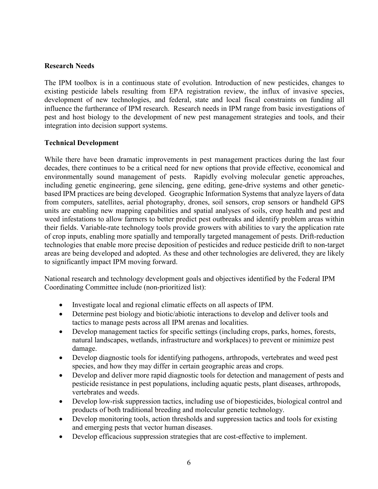#### **Research Needs**

The IPM toolbox is in a continuous state of evolution. Introduction of new pesticides, changes to existing pesticide labels resulting from EPA registration review, the influx of invasive species, development of new technologies, and federal, state and local fiscal constraints on funding all influence the furtherance of IPM research. Research needs in IPM range from basic investigations of pest and host biology to the development of new pest management strategies and tools, and their integration into decision support systems.

#### **Technical Development**

While there have been dramatic improvements in pest management practices during the last four decades, there continues to be a critical need for new options that provide effective, economical and environmentally sound management of pests. Rapidly evolving molecular genetic approaches, including genetic engineering, gene silencing, gene editing, gene-drive systems and other geneticbased IPM practices are being developed. Geographic Information Systems that analyze layers of data from computers, satellites, aerial photography, drones, soil sensors, crop sensors or handheld GPS units are enabling new mapping capabilities and spatial analyses of soils, crop health and pest and weed infestations to allow farmers to better predict pest outbreaks and identify problem areas within their fields. Variable-rate technology tools provide growers with abilities to vary the application rate of crop inputs, enabling more spatially and temporally targeted management of pests. Drift-reduction technologies that enable more precise deposition of pesticides and reduce pesticide drift to non-target areas are being developed and adopted. As these and other technologies are delivered, they are likely to significantly impact IPM moving forward.

National research and technology development goals and objectives identified by the Federal IPM Coordinating Committee include (non-prioritized list):

- Investigate local and regional climatic effects on all aspects of IPM.
- Determine pest biology and biotic/abiotic interactions to develop and deliver tools and tactics to manage pests across all IPM arenas and localities.
- Develop management tactics for specific settings (including crops, parks, homes, forests, natural landscapes, wetlands, infrastructure and workplaces) to prevent or minimize pest damage.
- Develop diagnostic tools for identifying pathogens, arthropods, vertebrates and weed pest species, and how they may differ in certain geographic areas and crops.
- Develop and deliver more rapid diagnostic tools for detection and management of pests and pesticide resistance in pest populations, including aquatic pests, plant diseases, arthropods, vertebrates and weeds.
- Develop low-risk suppression tactics, including use of biopesticides, biological control and products of both traditional breeding and molecular genetic technology.
- Develop monitoring tools, action thresholds and suppression tactics and tools for existing and emerging pests that vector human diseases.
- Develop efficacious suppression strategies that are cost-effective to implement.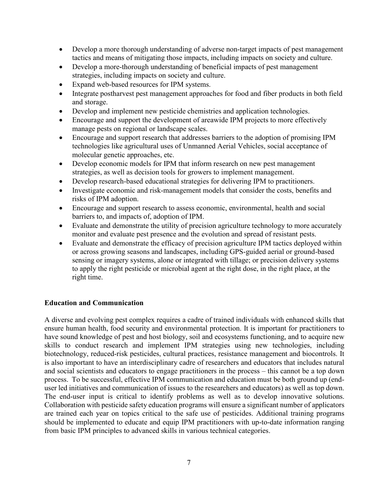- Develop a more thorough understanding of adverse non-target impacts of pest management tactics and means of mitigating those impacts, including impacts on society and culture.
- Develop a more-thorough understanding of beneficial impacts of pest management strategies, including impacts on society and culture.
- Expand web-based resources for IPM systems.
- Integrate postharvest pest management approaches for food and fiber products in both field and storage.
- Develop and implement new pesticide chemistries and application technologies.
- Encourage and support the development of areawide IPM projects to more effectively manage pests on regional or landscape scales.
- Encourage and support research that addresses barriers to the adoption of promising IPM technologies like agricultural uses of Unmanned Aerial Vehicles, social acceptance of molecular genetic approaches, etc.
- Develop economic models for IPM that inform research on new pest management strategies, as well as decision tools for growers to implement management.
- Develop research-based educational strategies for delivering IPM to practitioners.
- Investigate economic and risk-management models that consider the costs, benefits and risks of IPM adoption.
- Encourage and support research to assess economic, environmental, health and social barriers to, and impacts of, adoption of IPM.
- Evaluate and demonstrate the utility of precision agriculture technology to more accurately monitor and evaluate pest presence and the evolution and spread of resistant pests.
- Evaluate and demonstrate the efficacy of precision agriculture IPM tactics deployed within or across growing seasons and landscapes, including GPS-guided aerial or ground-based sensing or imagery systems, alone or integrated with tillage; or precision delivery systems to apply the right pesticide or microbial agent at the right dose, in the right place, at the right time.

## **Education and Communication**

A diverse and evolving pest complex requires a cadre of trained individuals with enhanced skills that ensure human health, food security and environmental protection. It is important for practitioners to have sound knowledge of pest and host biology, soil and ecosystems functioning, and to acquire new skills to conduct research and implement IPM strategies using new technologies, including biotechnology, reduced-risk pesticides, cultural practices, resistance management and biocontrols. It is also important to have an interdisciplinary cadre of researchers and educators that includes natural and social scientists and educators to engage practitioners in the process – this cannot be a top down process. To be successful, effective IPM communication and education must be both ground up (enduser led initiatives and communication of issues to the researchers and educators) as well as top down. The end-user input is critical to identify problems as well as to develop innovative solutions. Collaboration with pesticide safety education programs will ensure a significant number of applicators are trained each year on topics critical to the safe use of pesticides. Additional training programs should be implemented to educate and equip IPM practitioners with up-to-date information ranging from basic IPM principles to advanced skills in various technical categories.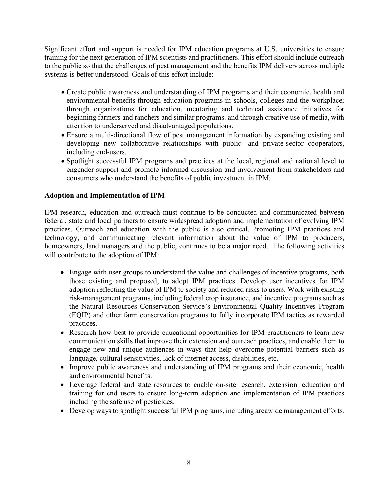Significant effort and support is needed for IPM education programs at U.S. universities to ensure training for the next generation of IPM scientists and practitioners. This effort should include outreach to the public so that the challenges of pest management and the benefits IPM delivers across multiple systems is better understood. Goals of this effort include:

- Create public awareness and understanding of IPM programs and their economic, health and environmental benefits through education programs in schools, colleges and the workplace; through organizations for education, mentoring and technical assistance initiatives for beginning farmers and ranchers and similar programs; and through creative use of media, with attention to underserved and disadvantaged populations.
- Ensure a multi-directional flow of pest management information by expanding existing and developing new collaborative relationships with public- and private-sector cooperators, including end-users.
- Spotlight successful IPM programs and practices at the local, regional and national level to engender support and promote informed discussion and involvement from stakeholders and consumers who understand the benefits of public investment in IPM.

## **Adoption and Implementation of IPM**

IPM research, education and outreach must continue to be conducted and communicated between federal, state and local partners to ensure widespread adoption and implementation of evolving IPM practices. Outreach and education with the public is also critical. Promoting IPM practices and technology, and communicating relevant information about the value of IPM to producers, homeowners, land managers and the public, continues to be a major need. The following activities will contribute to the adoption of IPM:

- Engage with user groups to understand the value and challenges of incentive programs, both those existing and proposed, to adopt IPM practices. Develop user incentives for IPM adoption reflecting the value of IPM to society and reduced risks to users. Work with existing risk-management programs, including federal crop insurance, and incentive programs such as the Natural Resources Conservation Service's Environmental Quality Incentives Program (EQIP) and other farm conservation programs to fully incorporate IPM tactics as rewarded practices.
- Research how best to provide educational opportunities for IPM practitioners to learn new communication skills that improve their extension and outreach practices, and enable them to engage new and unique audiences in ways that help overcome potential barriers such as language, cultural sensitivities, lack of internet access, disabilities, etc.
- Improve public awareness and understanding of IPM programs and their economic, health and environmental benefits.
- Leverage federal and state resources to enable on-site research, extension, education and training for end users to ensure long-term adoption and implementation of IPM practices including the safe use of pesticides.
- Develop ways to spotlight successful IPM programs, including areawide management efforts.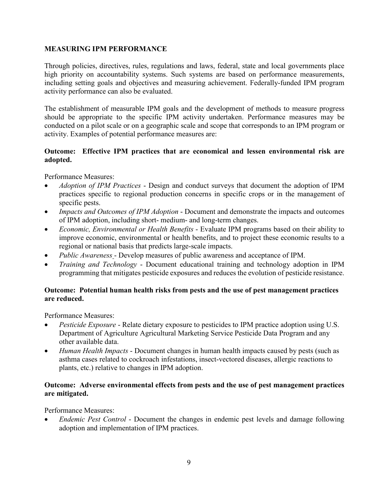## **MEASURING IPM PERFORMANCE**

Through policies, directives, rules, regulations and laws, federal, state and local governments place high priority on accountability systems. Such systems are based on performance measurements, including setting goals and objectives and measuring achievement. Federally-funded IPM program activity performance can also be evaluated.

The establishment of measurable IPM goals and the development of methods to measure progress should be appropriate to the specific IPM activity undertaken. Performance measures may be conducted on a pilot scale or on a geographic scale and scope that corresponds to an IPM program or activity. Examples of potential performance measures are:

#### **Outcome: Effective IPM practices that are economical and lessen environmental risk are adopted.**

Performance Measures:

- *Adoption of IPM Practices* Design and conduct surveys that document the adoption of IPM practices specific to regional production concerns in specific crops or in the management of specific pests.
- *Impacts and Outcomes of IPM Adoption* Document and demonstrate the impacts and outcomes of IPM adoption, including short- medium- and long-term changes.
- *Economic, Environmental or Health Benefits* Evaluate IPM programs based on their ability to improve economic, environmental or health benefits, and to project these economic results to a regional or national basis that predicts large-scale impacts.
- *Public Awareness* Develop measures of public awareness and acceptance of IPM.
- *Training and Technology* Document educational training and technology adoption in IPM programming that mitigates pesticide exposures and reduces the evolution of pesticide resistance.

## **Outcome: Potential human health risks from pests and the use of pest management practices are reduced.**

Performance Measures:

- *Pesticide Exposure* Relate dietary exposure to pesticides to IPM practice adoption using U.S. Department of Agriculture Agricultural Marketing Service Pesticide Data Program and any other available data.
- *Human Health Impacts* Document changes in human health impacts caused by pests (such as asthma cases related to cockroach infestations, insect-vectored diseases, allergic reactions to plants, etc.) relative to changes in IPM adoption.

## **Outcome: Adverse environmental effects from pests and the use of pest management practices are mitigated.**

Performance Measures:

• *Endemic Pest Control* - Document the changes in endemic pest levels and damage following adoption and implementation of IPM practices.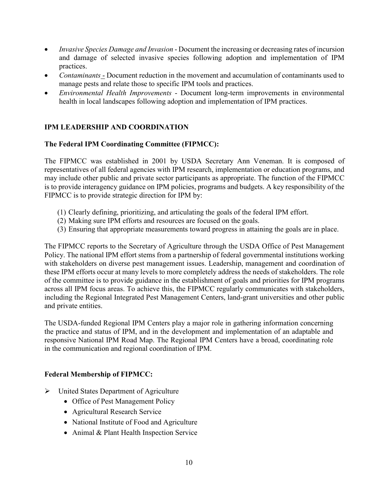- *Invasive Species Damage and Invasion* Document the increasing or decreasing rates of incursion and damage of selected invasive species following adoption and implementation of IPM practices.
- *Contaminants* Document reduction in the movement and accumulation of contaminants used to manage pests and relate those to specific IPM tools and practices.
- *Environmental Health Improvements* Document long-term improvements in environmental health in local landscapes following adoption and implementation of IPM practices.

# **IPM LEADERSHIP AND COORDINATION**

## **The Federal IPM Coordinating Committee (FIPMCC):**

The FIPMCC was established in 2001 by USDA Secretary Ann Veneman. It is composed of representatives of all federal agencies with IPM research, implementation or education programs, and may include other public and private sector participants as appropriate. The function of the FIPMCC is to provide interagency guidance on IPM policies, programs and budgets. A key responsibility of the FIPMCC is to provide strategic direction for IPM by:

- (1) Clearly defining, prioritizing, and articulating the goals of the federal IPM effort.
- (2) Making sure IPM efforts and resources are focused on the goals.
- (3) Ensuring that appropriate measurements toward progress in attaining the goals are in place.

The FIPMCC reports to the Secretary of Agriculture through the USDA Office of Pest Management Policy. The national IPM effort stems from a partnership of federal governmental institutions working with stakeholders on diverse pest management issues. Leadership, management and coordination of these IPM efforts occur at many levels to more completely address the needs of stakeholders. The role of the committee is to provide guidance in the establishment of goals and priorities for IPM programs across all IPM focus areas. To achieve this, the FIPMCC regularly communicates with stakeholders, including the Regional Integrated Pest Management Centers, land-grant universities and other public and private entities.

The USDA-funded Regional IPM Centers play a major role in gathering information concerning the practice and status of IPM, and in the development and implementation of an adaptable and responsive National IPM Road Map. The Regional IPM Centers have a broad, coordinating role in the communication and regional coordination of IPM.

# **Federal Membership of FIPMCC:**

- United States Department of Agriculture
	- Office of Pest Management Policy
	- Agricultural Research Service
	- National Institute of Food and Agriculture
	- Animal & Plant Health Inspection Service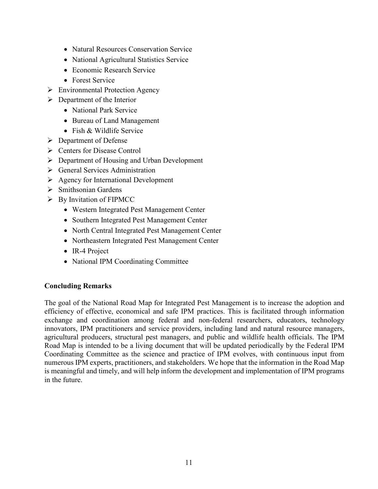- Natural Resources Conservation Service
- National Agricultural Statistics Service
- Economic Research Service
- Forest Service
- > Environmental Protection Agency
- $\triangleright$  Department of the Interior
	- National Park Service
	- Bureau of Land Management
	- Fish & Wildlife Service
- Department of Defense
- Centers for Disease Control
- $\triangleright$  Department of Housing and Urban Development
- **►** General Services Administration
- $\triangleright$  Agency for International Development
- $\triangleright$  Smithsonian Gardens
- $\triangleright$  By Invitation of FIPMCC
	- Western Integrated Pest Management Center
	- Southern Integrated Pest Management Center
	- North Central Integrated Pest Management Center
	- Northeastern Integrated Pest Management Center
	- IR-4 Project
	- National IPM Coordinating Committee

## **Concluding Remarks**

The goal of the National Road Map for Integrated Pest Management is to increase the adoption and efficiency of effective, economical and safe IPM practices. This is facilitated through information exchange and coordination among federal and non-federal researchers, educators, technology innovators, IPM practitioners and service providers, including land and natural resource managers, agricultural producers, structural pest managers, and public and wildlife health officials. The IPM Road Map is intended to be a living document that will be updated periodically by the Federal IPM Coordinating Committee as the science and practice of IPM evolves, with continuous input from numerous IPM experts, practitioners, and stakeholders. We hope that the information in the Road Map is meaningful and timely, and will help inform the development and implementation of IPM programs in the future.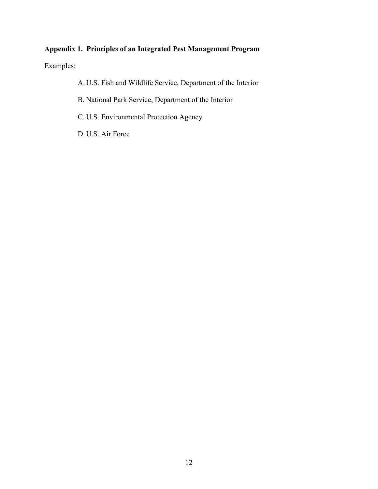# **Appendix 1. Principles of an Integrated Pest Management Program**

Examples:

A. U.S. Fish and Wildlife Service, Department of the Interior

B. National Park Service, Department of the Interior

C. U.S. Environmental Protection Agency

D. U.S. Air Force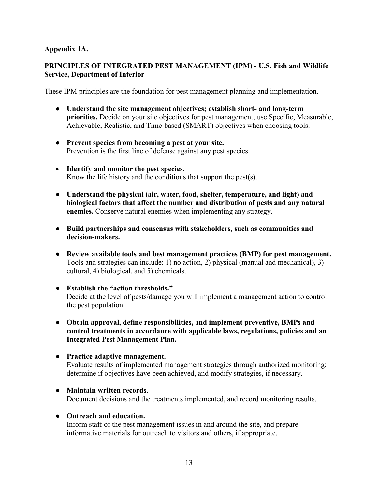## **Appendix 1A.**

## **PRINCIPLES OF INTEGRATED PEST MANAGEMENT (IPM) - U.S. Fish and Wildlife Service, Department of Interior**

These IPM principles are the foundation for pest management planning and implementation.

- **Understand the site management objectives; establish short- and long-term priorities.** Decide on your site objectives for pest management; use Specific, Measurable, Achievable, Realistic, and Time-based (SMART) objectives when choosing tools.
- **Prevent species from becoming a pest at your site.** Prevention is the first line of defense against any pest species.
- **Identify and monitor the pest species.** Know the life history and the conditions that support the pest(s).
- **Understand the physical (air, water, food, shelter, temperature, and light) and biological factors that affect the number and distribution of pests and any natural enemies.** Conserve natural enemies when implementing any strategy.
- **Build partnerships and consensus with stakeholders, such as communities and decision-makers.**
- **Review available tools and best management practices (BMP) for pest management.**  Tools and strategies can include: 1) no action, 2) physical (manual and mechanical), 3) cultural, 4) biological, and 5) chemicals.
- **Establish the "action thresholds."**  Decide at the level of pests/damage you will implement a management action to control the pest population.
- **Obtain approval, define responsibilities, and implement preventive, BMPs and control treatments in accordance with applicable laws, regulations, policies and an Integrated Pest Management Plan.**
- **Practice adaptive management.**  Evaluate results of implemented management strategies through authorized monitoring; determine if objectives have been achieved, and modify strategies, if necessary.
- **Maintain written records**.

Document decisions and the treatments implemented, and record monitoring results.

## ● **Outreach and education.**

Inform staff of the pest management issues in and around the site, and prepare informative materials for outreach to visitors and others, if appropriate.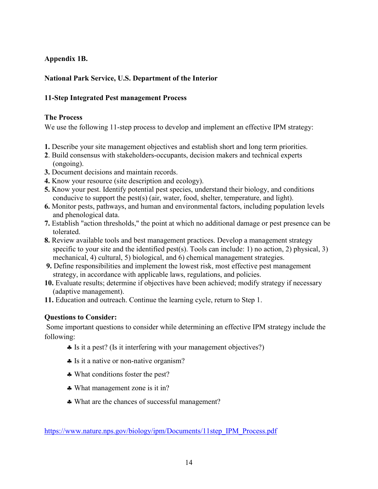# **Appendix 1B.**

# **National Park Service, U.S. Department of the Interior**

## **11-Step Integrated Pest management Process**

#### **The Process**

We use the following 11-step process to develop and implement an effective IPM strategy:

- **1.** Describe your site management objectives and establish short and long term priorities.
- **2**. Build consensus with stakeholders-occupants, decision makers and technical experts (ongoing).
- **3.** Document decisions and maintain records.
- **4.** Know your resource (site description and ecology).
- **5.** Know your pest. Identify potential pest species, understand their biology, and conditions conducive to support the pest(s) (air, water, food, shelter, temperature, and light).
- **6.** Monitor pests, pathways, and human and environmental factors, including population levels and phenological data.
- **7.** Establish "action thresholds," the point at which no additional damage or pest presence can be tolerated.
- **8.** Review available tools and best management practices. Develop a management strategy specific to your site and the identified pest(s). Tools can include: 1) no action, 2) physical, 3) mechanical, 4) cultural, 5) biological, and 6) chemical management strategies.
- **9.** Define responsibilities and implement the lowest risk, most effective pest management strategy, in accordance with applicable laws, regulations, and policies.
- **10.** Evaluate results; determine if objectives have been achieved; modify strategy if necessary (adaptive management).
- **11.** Education and outreach. Continue the learning cycle, return to Step 1.

#### **Questions to Consider:**

Some important questions to consider while determining an effective IPM strategy include the following:

- ♣ Is it a pest? (Is it interfering with your management objectives?)
- ♣ Is it a native or non-native organism?
- ♣ What conditions foster the pest?
- ♣ What management zone is it in?
- ♣ What are the chances of successful management?

[https://www.nature.nps.gov/biology/ipm/Documents/11step\\_IPM\\_Process.pdf](https://www.nature.nps.gov/biology/ipm/Documents/11step_IPM_Process.pdf)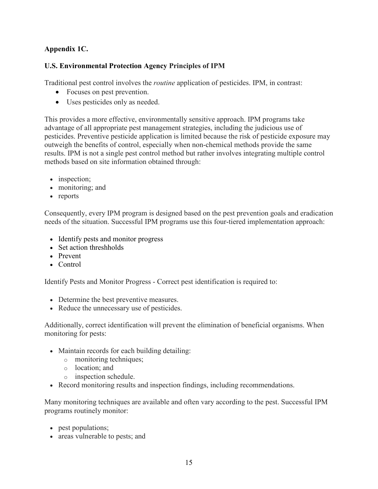# **Appendix 1C.**

# **U.S. Environmental Protection Agency Principles of IPM**

Traditional pest control involves the *routine* application of pesticides. IPM, in contrast:

- Focuses on pest prevention.
- Uses pesticides only as needed.

This provides a more effective, environmentally sensitive approach. IPM programs take advantage of all appropriate pest management strategies, including the judicious use of pesticides. Preventive pesticide application is limited because the risk of pesticide exposure may outweigh the benefits of control, especially when non-chemical methods provide the same results. IPM is not a single pest control method but rather involves integrating multiple control methods based on site information obtained through:

- inspection:
- monitoring; and
- reports

Consequently, every IPM program is designed based on the pest prevention goals and eradication needs of the situation. Successful IPM programs use this four-tiered implementation approach:

- Identify pests and monitor progress
- Set action threshholds
- Prevent
- Control

Identify Pests and Monitor Progress - Correct pest identification is required to:

- Determine the best preventive measures.
- Reduce the unnecessary use of pesticides.

Additionally, correct identification will prevent the elimination of beneficial organisms. When monitoring for pests:

- Maintain records for each building detailing:
	- o monitoring techniques;
	- o location; and
	- o inspection schedule.
- Record monitoring results and inspection findings, including recommendations.

Many monitoring techniques are available and often vary according to the pest. Successful IPM programs routinely monitor:

- pest populations;
- areas vulnerable to pests; and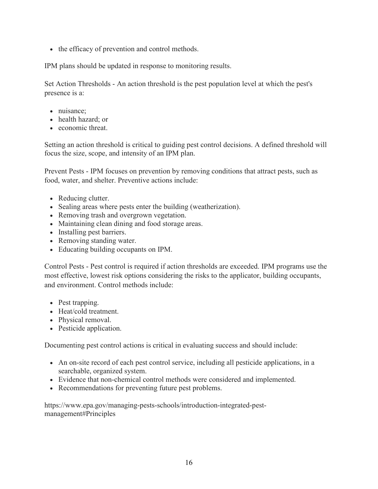• the efficacy of prevention and control methods.

IPM plans should be updated in response to monitoring results.

Set Action Thresholds - An action threshold is the pest population level at which the pest's presence is a:

- nuisance:
- health hazard; or
- economic threat.

Setting an action threshold is critical to guiding pest control decisions. A defined threshold will focus the size, scope, and intensity of an IPM plan.

Prevent Pests - IPM focuses on prevention by removing conditions that attract pests, such as food, water, and shelter. Preventive actions include:

- Reducing clutter.
- Sealing areas where pests enter the building (weatherization).
- Removing trash and overgrown vegetation.
- Maintaining clean dining and food storage areas.
- Installing pest barriers.
- Removing standing water.
- Educating building occupants on IPM.

Control Pests - Pest control is required if action thresholds are exceeded. IPM programs use the most effective, lowest risk options considering the risks to the applicator, building occupants, and environment. Control methods include:

- Pest trapping.
- Heat/cold treatment.
- Physical removal.
- Pesticide application.

Documenting pest control actions is critical in evaluating success and should include:

- An on-site record of each pest control service, including all pesticide applications, in a searchable, organized system.
- Evidence that non-chemical control methods were considered and implemented.
- Recommendations for preventing future pest problems.

https://www.epa.gov/managing-pests-schools/introduction-integrated-pestmanagement#Principles